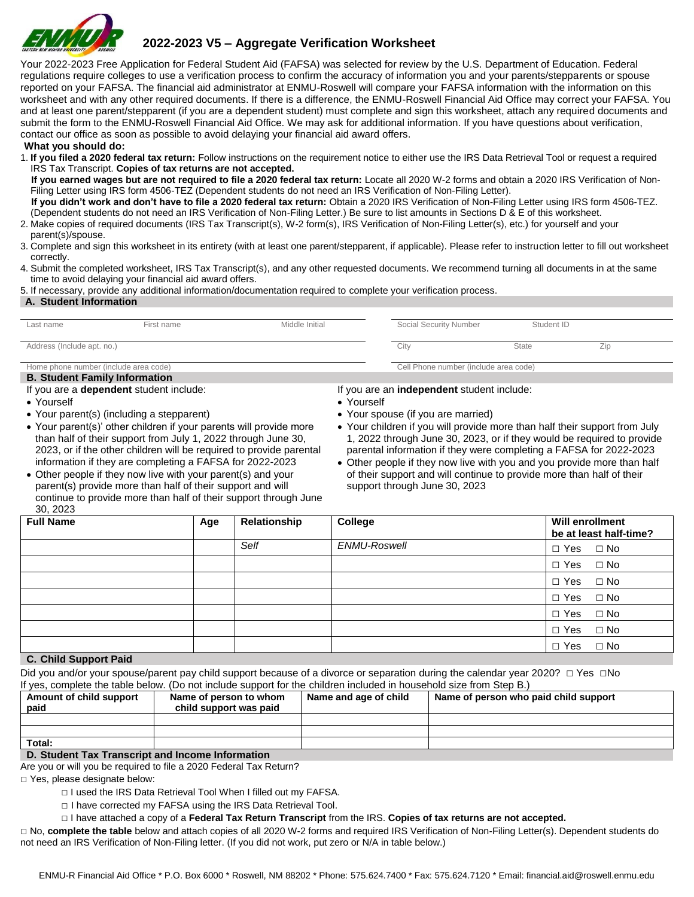

# **2022-2023 V5 – Aggregate Verification Worksheet**

Your 2022-2023 Free Application for Federal Student Aid (FAFSA) was selected for review by the U.S. Department of Education. Federal regulations require colleges to use a verification process to confirm the accuracy of information you and your parents/stepparents or spouse reported on your FAFSA. The financial aid administrator at ENMU-Roswell will compare your FAFSA information with the information on this worksheet and with any other required documents. If there is a difference, the ENMU-Roswell Financial Aid Office may correct your FAFSA. You and at least one parent/stepparent (if you are a dependent student) must complete and sign this worksheet, attach any required documents and submit the form to the ENMU-Roswell Financial Aid Office. We may ask for additional information. If you have questions about verification, contact our office as soon as possible to avoid delaying your financial aid award offers.

#### **What you should do:**

1. **If you filed a 2020 federal tax return:** Follow instructions on the requirement notice to either use the IRS Data Retrieval Tool or request a required IRS Tax Transcript. **Copies of tax returns are not accepted.** 

 **If you earned wages but are not required to file a 2020 federal tax return:** Locate all 2020 W-2 forms and obtain a 2020 IRS Verification of Non-Filing Letter using IRS form 4506-TEZ (Dependent students do not need an IRS Verification of Non-Filing Letter).

 **If you didn't work and don't have to file a 2020 federal tax return:** Obtain a 2020 IRS Verification of Non-Filing Letter using IRS form 4506-TEZ. (Dependent students do not need an IRS Verification of Non-Filing Letter.) Be sure to list amounts in Sections D & E of this worksheet.

- 2. Make copies of required documents (IRS Tax Transcript(s), W-2 form(s), IRS Verification of Non-Filing Letter(s), etc.) for yourself and your parent(s)/spouse.
- 3. Complete and sign this worksheet in its entirety (with at least one parent/stepparent, if applicable). Please refer to instruction letter to fill out worksheet correctly.
- 4. Submit the completed worksheet, IRS Tax Transcript(s), and any other requested documents. We recommend turning all documents in at the same time to avoid delaying your financial aid award offers.

5. If necessary, provide any additional information/documentation required to complete your verification process.

#### **A. Student Information**

| Last name                             | First name                                     | Middle Initial | Social Security Number                            | Student ID   |     |  |
|---------------------------------------|------------------------------------------------|----------------|---------------------------------------------------|--------------|-----|--|
|                                       |                                                |                |                                                   |              |     |  |
| Address (Include apt. no.)            |                                                |                | City                                              | <b>State</b> | Zip |  |
|                                       |                                                |                |                                                   |              |     |  |
| Home phone number (include area code) |                                                |                | Cell Phone number (include area code)             |              |     |  |
| <b>B. Student Family Information</b>  |                                                |                |                                                   |              |     |  |
|                                       | If you are a <b>dependent</b> student include: |                | If you are an <b>independent</b> student include: |              |     |  |
| • Yourself                            |                                                | • Yourself     |                                                   |              |     |  |
|                                       | • Your parent(s) (including a stepparent)      |                | • Your spouse (if you are married)                |              |     |  |

• Your parent(s)' other children if your parents will provide more than half of their support from July 1, 2022 through June 30, 2023, or if the other children will be required to provide parental information if they are completing a FAFSA for 2022-2023 • Other people if they now live with your parent(s) and your

parent(s) provide more than half of their support and will continue to provide more than half of their support through June • Your children if you will provide more than half their support from July 1, 2022 through June 30, 2023, or if they would be required to provide parental information if they were completing a FAFSA for 2022-2023

• Other people if they now live with you and you provide more than half of their support and will continue to provide more than half of their support through June 30, 2023

| <b>Full Name</b>      | Age | Relationship | College      | <b>Will enrollment</b><br>be at least half-time? |
|-----------------------|-----|--------------|--------------|--------------------------------------------------|
|                       |     | Self         | ENMU-Roswell | $\Box$ Yes $\Box$ No                             |
|                       |     |              |              | $\Box$ Yes $\Box$ No                             |
|                       |     |              |              | $\Box$ Yes $\Box$ No                             |
|                       |     |              |              | $\Box$ Yes $\Box$ No                             |
|                       |     |              |              | $\Box$ Yes $\Box$ No                             |
|                       |     |              |              | $\Box$ Yes $\Box$ No                             |
| C. Child Company Daid |     |              |              | $\Box$ Yes $\Box$ No                             |

# **C. Child Support Paid**

30, 2023

| Did you and/or your spouse/parent pay child support because of a divorce or separation during the calendar year 2020? $\Box$ Yes $\Box$ No |
|--------------------------------------------------------------------------------------------------------------------------------------------|
| If yes, complete the table below. (Do not include support for the children included in household size from Step B.)                        |

| Amount of child support<br>paid                  | Name of person to whom<br>child support was paid | Name and age of child | Name of person who paid child support |
|--------------------------------------------------|--------------------------------------------------|-----------------------|---------------------------------------|
|                                                  |                                                  |                       |                                       |
|                                                  |                                                  |                       |                                       |
| Total:                                           |                                                  |                       |                                       |
| D. Chidant Tay Transarint and Income Information |                                                  |                       |                                       |

**D. Student Tax Transcript and Income Information** Are you or will you be required to file a 2020 Federal Tax Return?

□ Yes, please designate below:

- □ I used the IRS Data Retrieval Tool When I filled out my FAFSA.
- □ I have corrected my FAFSA using the IRS Data Retrieval Tool.
- □ I have attached a copy of a **Federal Tax Return Transcript** from the IRS. **Copies of tax returns are not accepted.**

□ No, **complete the table** below and attach copies of all 2020 W-2 forms and required IRS Verification of Non-Filing Letter(s). Dependent students do not need an IRS Verification of Non-Filing letter. (If you did not work, put zero or N/A in table below.)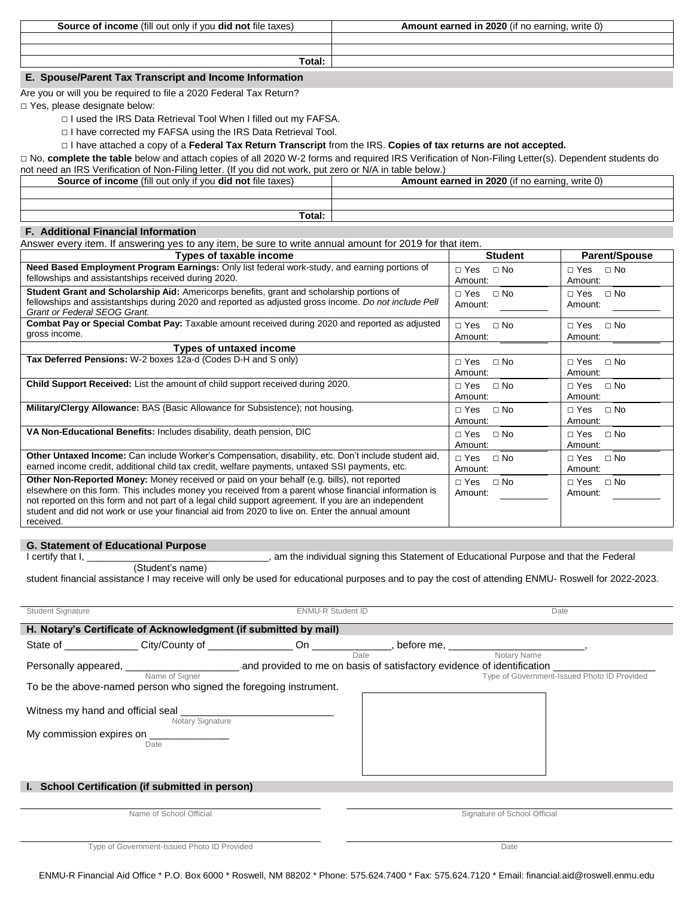**Source of income** (fill out only if you **did not** file taxes) **Amount earned in 2020** (if no earning, write 0)

**Total:** 

# **E. Spouse/Parent Tax Transcript and Income Information**

Are you or will you be required to file a 2020 Federal Tax Return?

□ Yes, please designate below:

- □ I used the IRS Data Retrieval Tool When I filled out my FAFSA.
- □ I have corrected my FAFSA using the IRS Data Retrieval Tool.

## □ I have attached a copy of a **Federal Tax Return Transcript** from the IRS. **Copies of tax returns are not accepted.**

□ No, complete the table below and attach copies of all 2020 W-2 forms and required IRS Verification of Non-Filing Letter(s). Dependent students do ndeed and IRS Verification of Non-Filing letter. (If you did not work, put

| TIOL HEED OF HYA III LADIE DEIDW.)                                       |                                                |  |  |  |
|--------------------------------------------------------------------------|------------------------------------------------|--|--|--|
| <b>Source of income</b> (fill out only if you <b>did not</b> file taxes) | Amount earned in 2020 (if no earning, write 0) |  |  |  |
|                                                                          |                                                |  |  |  |
|                                                                          |                                                |  |  |  |
| Total:                                                                   |                                                |  |  |  |

## **F. Additional Financial Information**

Answer every item. If answering yes to any item, be sure to write annual amount for 2019 for that item.

| <b>Types of taxable income</b>                                                                                                                                                                                                                                                                                                                                                                                                      | <b>Student</b>                       | <b>Parent/Spouse</b>                 |
|-------------------------------------------------------------------------------------------------------------------------------------------------------------------------------------------------------------------------------------------------------------------------------------------------------------------------------------------------------------------------------------------------------------------------------------|--------------------------------------|--------------------------------------|
| Need Based Employment Program Earnings: Only list federal work-study, and earning portions of<br>fellowships and assistantships received during 2020.                                                                                                                                                                                                                                                                               | $\Box$ No<br>$\Box$ Yes<br>Amount:   | $\Box$ Yes $\Box$ No<br>Amount:      |
| Student Grant and Scholarship Aid: Americorps benefits, grant and scholarship portions of<br>fellowships and assistantships during 2020 and reported as adjusted gross income. Do not include Pell<br><b>Grant or Federal SEOG Grant.</b>                                                                                                                                                                                           | $\Box$ Yes<br>$\Box$ No<br>Amount:   | $\Box$ Yes<br>$\Box$ No<br>Amount:   |
| <b>Combat Pay or Special Combat Pay:</b> Taxable amount received during 2020 and reported as adjusted<br>gross income.                                                                                                                                                                                                                                                                                                              | $\Box$ No<br>$\Box$ Yes<br>Amount:   | $\sqcap$ Yes<br>$\Box$ No<br>Amount: |
| <b>Types of untaxed income</b>                                                                                                                                                                                                                                                                                                                                                                                                      |                                      |                                      |
| Tax Deferred Pensions: W-2 boxes 12a-d (Codes D-H and S only)                                                                                                                                                                                                                                                                                                                                                                       | $\Box$ Yes<br>$\Box$ No<br>Amount:   | $\Box$ No<br>$\sqcap$ Yes<br>Amount: |
| <b>Child Support Received:</b> List the amount of child support received during 2020.                                                                                                                                                                                                                                                                                                                                               | $\Box$ Yes<br>$\Box$ No<br>Amount:   | $\sqcap$ Yes<br>$\Box$ No<br>Amount: |
| Military/Clergy Allowance: BAS (Basic Allowance for Subsistence); not housing.                                                                                                                                                                                                                                                                                                                                                      | $\Box$ No<br>$\Box$ Yes<br>Amount:   | $\Box$ Yes $\Box$ No<br>Amount:      |
| VA Non-Educational Benefits: Includes disability, death pension, DIC                                                                                                                                                                                                                                                                                                                                                                | $\Box$ Yes<br>$\Box$ No<br>Amount:   | $\Box$ Yes<br>$\Box$ No<br>Amount:   |
| Other Untaxed Income: Can include Worker's Compensation, disability, etc. Don't include student aid,<br>earned income credit, additional child tax credit, welfare payments, untaxed SSI payments, etc.                                                                                                                                                                                                                             | $\Box$ Yes<br>$\Box$ No<br>Amount:   | $\Box$ Yes<br>$\Box$ No<br>Amount:   |
| <b>Other Non-Reported Money:</b> Money received or paid on your behalf (e.g. bills), not reported<br>elsewhere on this form. This includes money you received from a parent whose financial information is<br>not reported on this form and not part of a legal child support agreement. If you are an independent<br>student and did not work or use your financial aid from 2020 to live on. Enter the annual amount<br>received. | $\sqcap$ Yes<br>$\Box$ No<br>Amount: | $\sqcap$ Yes<br>$\Box$ No<br>Amount: |

### **G. Statement of Educational Purpose**

I certify that I, \_\_\_\_\_\_\_\_\_\_\_\_\_\_\_\_\_\_\_\_\_\_\_\_\_\_\_\_\_\_\_\_\_\_, am the individual signing this Statement of Educational Purpose and that the Federal

(Student's name)

student financial assistance I may receive will only be used for educational purposes and to pay the cost of attending ENMU- Roswell for 2022-2023.

| <b>Student Signature</b> | <b>ENMU-R Student ID</b>                                                                                                                                                                                                                                 |                                                                                                                | Date                                                       |
|--------------------------|----------------------------------------------------------------------------------------------------------------------------------------------------------------------------------------------------------------------------------------------------------|----------------------------------------------------------------------------------------------------------------|------------------------------------------------------------|
|                          | H. Notary's Certificate of Acknowledgment (if submitted by mail)                                                                                                                                                                                         |                                                                                                                |                                                            |
|                          |                                                                                                                                                                                                                                                          | State of _______________City/County of _________________On ______________, before me, _______________________, |                                                            |
|                          | Name of Signer                                                                                                                                                                                                                                           | Date                                                                                                           | Notary Name<br>Type of Government-Issued Photo ID Provided |
|                          | To be the above-named person who signed the foregoing instrument.                                                                                                                                                                                        |                                                                                                                |                                                            |
|                          | Witness my hand and official seal <b>with the contract of the contract of the contract of the contract of the contract of the contract of the contract of the contract of the contract of the contract of the contract of the co</b><br>Notary Signature |                                                                                                                |                                                            |
| My commission expires on | Date                                                                                                                                                                                                                                                     |                                                                                                                |                                                            |
|                          |                                                                                                                                                                                                                                                          |                                                                                                                |                                                            |
|                          | I. School Certification (if submitted in person)                                                                                                                                                                                                         |                                                                                                                |                                                            |
|                          |                                                                                                                                                                                                                                                          |                                                                                                                |                                                            |
|                          | Name of School Official                                                                                                                                                                                                                                  |                                                                                                                | Signature of School Official                               |
|                          |                                                                                                                                                                                                                                                          |                                                                                                                |                                                            |

Type of Government-Issued Photo ID Provided Date